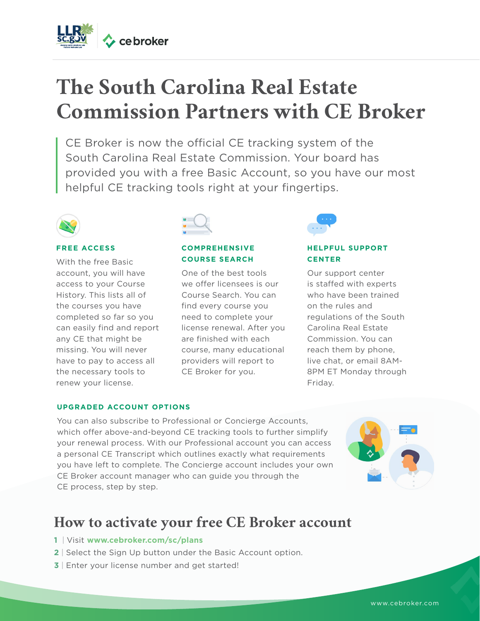

# **The South Carolina Real Estate Commission Partners with CE Broker**

CE Broker is now the official CE tracking system of the South Carolina Real Estate Commission. Your board has provided you with a free Basic Account, so you have our most helpful CE tracking tools right at your fingertips.



#### **FREE ACCESS**

With the free Basic account, you will have access to your Course History. This lists all of the courses you have completed so far so you can easily find and report any CE that might be missing. You will never have to pay to access all the necessary tools to renew your license.



#### **COMPREHENSIVE COURSE SEARCH**

One of the best tools we offer licensees is our Course Search. You can find every course you need to complete your license renewal. After you are finished with each course, many educational providers will report to CE Broker for you.



#### **HELPFUL SUPPORT CENTER**

Our support center is staffed with experts who have been trained on the rules and regulations of the South Carolina Real Estate Commission. You can reach them by phone, live chat, or email 8AM-8PM ET Monday through Friday.

#### **UPGRADED ACCOUNT OPTIONS**

You can also subscribe to Professional or Concierge Accounts, which offer above-and-beyond CE tracking tools to further simplify your renewal process. With our Professional account you can access a personal CE Transcript which outlines exactly what requirements you have left to complete. The Concierge account includes your own CE Broker account manager who can guide you through the CE process, step by step.



# **How to activate your free CE Broker account**

- **1** | Visit **www.cebroker.com/sc/plans**
- **2** | Select the Sign Up button under the Basic Account option.
- **3** | Enter your license number and get started!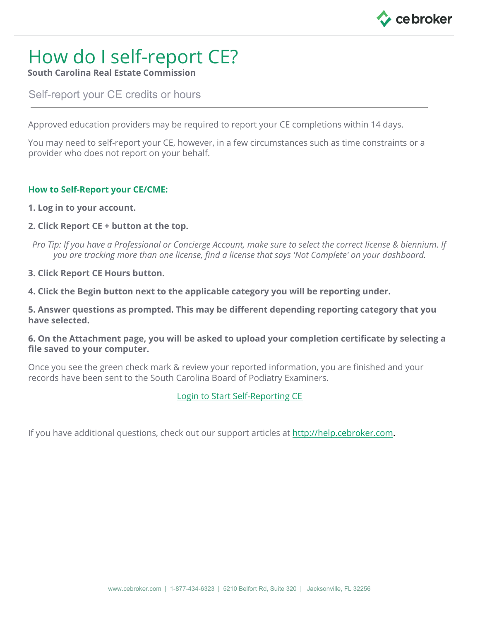

# How do I self-report CE?

**South Carolina Real Estate Commission**

Self-report your CE credits or hours

Approved education providers may be required to report your CE completions within 14 days.

You may need to self-report your CE, however, in a few circumstances such as time constraints or a provider who does not report on your behalf.

### **How to Self-Report your CE/CME:**

- **1. [Log](https://launchpad.cebroker.com/) in to your account.**
- **2. Click Report CE + button at the top.**
- Pro Tip: If you have a Professional or Concierge Account, make sure to select the correct license & biennium. If *you are tracking more than one license, find a license that says 'Not Complete' on your dashboard.*
- **3. Click Report CE Hours button.**
- **4. Click the Begin button next to the applicable category you will be reporting under.**

**5. Answer questions as prompted. This may be different depending reporting category that you have selected.**

**6. On the Attachment page, you will be asked to upload your completion certificate by selecting a file saved to your computer.**

Once you see the green check mark & review your reported information, you are finished and your records have been sent to the South Carolina Board of Podiatry Examiners.

### Login to Start [Self-Reporting](https://launchpad.cebroker.com/) CE

If you have additional questions, check out our support articles at [http://help.cebroker.com](http://help.cebroker.com/).